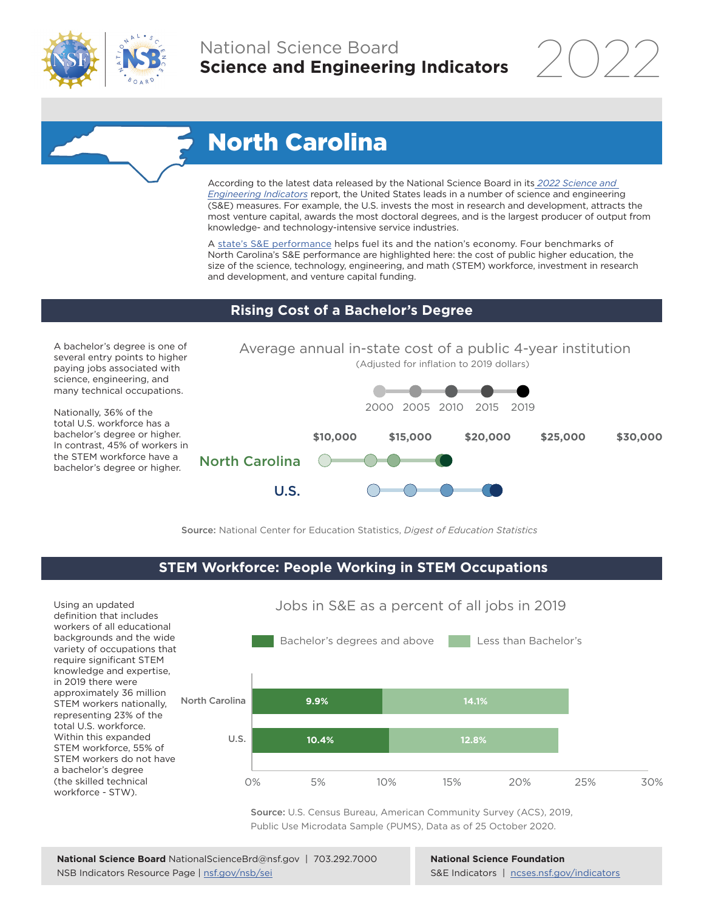

# North Carolina

According to the latest data released by the National Science Board in its *[2022 Science and](https://www.ncses.nsf.gov/indicators)  [Engineering Indicators](https://www.ncses.nsf.gov/indicators)* report, the United States leads in a number of science and engineering (S&E) measures. For example, the U.S. invests the most in research and development, attracts the most venture capital, awards the most doctoral degrees, and is the largest producer of output from knowledge- and technology-intensive service industries.

A [state's S&E performance](https://ncses.nsf.gov/indicators/states/) helps fuel its and the nation's economy. Four benchmarks of North Carolina's S&E performance are highlighted here: the cost of public higher education, the size of the science, technology, engineering, and math (STEM) workforce, investment in research and development, and venture capital funding.

#### **Rising Cost of a Bachelor's Degree**

A bachelor's degree is one of several entry points to higher paying jobs associated with science, engineering, and many technical occupations.

Nationally, 36% of the total U.S. workforce has a bachelor's degree or higher. In contrast, 45% of workers in the STEM workforce have a bachelor's degree or higher.



Source: National Center for Education Statistics, *Digest of Education Statistics*

#### **STEM Workforce: People Working in STEM Occupations**

Jobs in S&E as a percent of all jobs in 2019 Bachelor's degrees and above Less than Bachelor's North Carolina  $U.S.$ 0% 5% 10% 15% 20% 25% 30% **9.9% 14.1% 10.4% 12.8%** Using an updated definition that includes workers of all educational backgrounds and the wide variety of occupations that require significant STEM knowledge and expertise, in 2019 there were approximately 36 million STEM workers nationally, representing 23% of the total U.S. workforce. Within this expanded STEM workforce, 55% of STEM workers do not have a bachelor's degree (the skilled technical workforce - STW).

> Source: U.S. Census Bureau, American Community Survey (ACS), 2019, Public Use Microdata Sample (PUMS), Data as of 25 October 2020.

**National Science Foundation** S&E Indicators | [ncses.nsf.gov/indicators](https://www.ncses.nsf.gov/indicators)